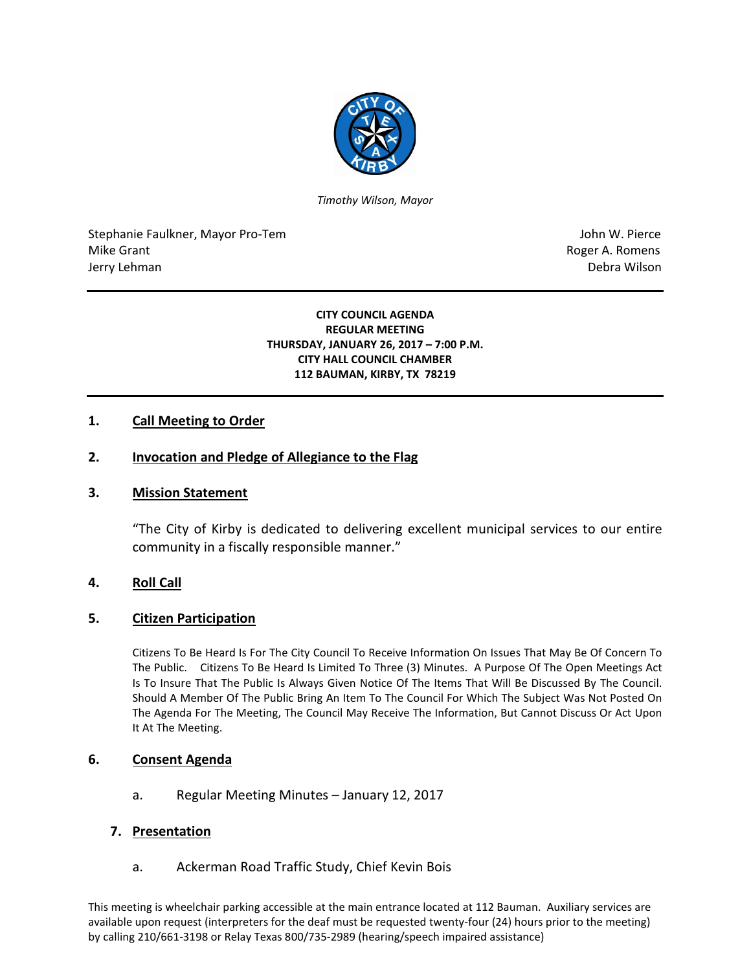

*Timothy Wilson, Mayor*

Stephanie Faulkner, Mayor Pro-Tem John W. Pierce Mike Grant **Mike Grant** Roger A. Romens **Contract A. Romens Contract A. Romens Contract A. Romens** Jerry Lehman Debra Wilson (2008) and the state of the state of the state of the state of the state of the state of the state of the state of the state of the state of the state of the state of the state of the state of the

#### **CITY COUNCIL AGENDA REGULAR MEETING THURSDAY, JANUARY 26, 2017 – 7:00 P.M. CITY HALL COUNCIL CHAMBER 112 BAUMAN, KIRBY, TX 78219**

## **1. Call Meeting to Order**

### **2. Invocation and Pledge of Allegiance to the Flag**

#### **3. Mission Statement**

"The City of Kirby is dedicated to delivering excellent municipal services to our entire community in a fiscally responsible manner."

#### **4. Roll Call**

#### **5. Citizen Participation**

Citizens To Be Heard Is For The City Council To Receive Information On Issues That May Be Of Concern To The Public. Citizens To Be Heard Is Limited To Three (3) Minutes. A Purpose Of The Open Meetings Act Is To Insure That The Public Is Always Given Notice Of The Items That Will Be Discussed By The Council. Should A Member Of The Public Bring An Item To The Council For Which The Subject Was Not Posted On The Agenda For The Meeting, The Council May Receive The Information, But Cannot Discuss Or Act Upon It At The Meeting.

#### **6. Consent Agenda**

a. Regular Meeting Minutes – January 12, 2017

#### **7. Presentation**

a. Ackerman Road Traffic Study, Chief Kevin Bois

This meeting is wheelchair parking accessible at the main entrance located at 112 Bauman. Auxiliary services are available upon request (interpreters for the deaf must be requested twenty-four (24) hours prior to the meeting) by calling 210/661-3198 or Relay Texas 800/735-2989 (hearing/speech impaired assistance)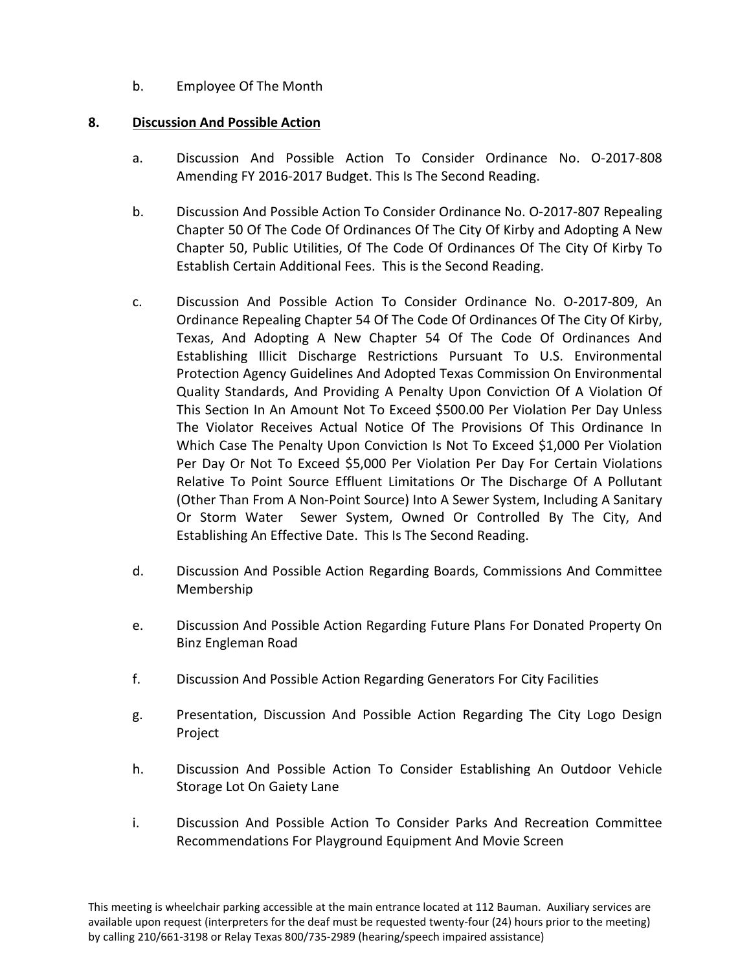b. Employee Of The Month

## **8. Discussion And Possible Action**

- a. Discussion And Possible Action To Consider Ordinance No. O-2017-808 Amending FY 2016-2017 Budget. This Is The Second Reading.
- b. Discussion And Possible Action To Consider Ordinance No. O-2017-807 Repealing Chapter 50 Of The Code Of Ordinances Of The City Of Kirby and Adopting A New Chapter 50, Public Utilities, Of The Code Of Ordinances Of The City Of Kirby To Establish Certain Additional Fees. This is the Second Reading.
- c. Discussion And Possible Action To Consider Ordinance No. O-2017-809, An Ordinance Repealing Chapter 54 Of The Code Of Ordinances Of The City Of Kirby, Texas, And Adopting A New Chapter 54 Of The Code Of Ordinances And Establishing Illicit Discharge Restrictions Pursuant To U.S. Environmental Protection Agency Guidelines And Adopted Texas Commission On Environmental Quality Standards, And Providing A Penalty Upon Conviction Of A Violation Of This Section In An Amount Not To Exceed \$500.00 Per Violation Per Day Unless The Violator Receives Actual Notice Of The Provisions Of This Ordinance In Which Case The Penalty Upon Conviction Is Not To Exceed \$1,000 Per Violation Per Day Or Not To Exceed \$5,000 Per Violation Per Day For Certain Violations Relative To Point Source Effluent Limitations Or The Discharge Of A Pollutant (Other Than From A Non-Point Source) Into A Sewer System, Including A Sanitary Or Storm Water Sewer System, Owned Or Controlled By The City, And Establishing An Effective Date. This Is The Second Reading.
- d. Discussion And Possible Action Regarding Boards, Commissions And Committee Membership
- e. Discussion And Possible Action Regarding Future Plans For Donated Property On Binz Engleman Road
- f. Discussion And Possible Action Regarding Generators For City Facilities
- g. Presentation, Discussion And Possible Action Regarding The City Logo Design Project
- h. Discussion And Possible Action To Consider Establishing An Outdoor Vehicle Storage Lot On Gaiety Lane
- i. Discussion And Possible Action To Consider Parks And Recreation Committee Recommendations For Playground Equipment And Movie Screen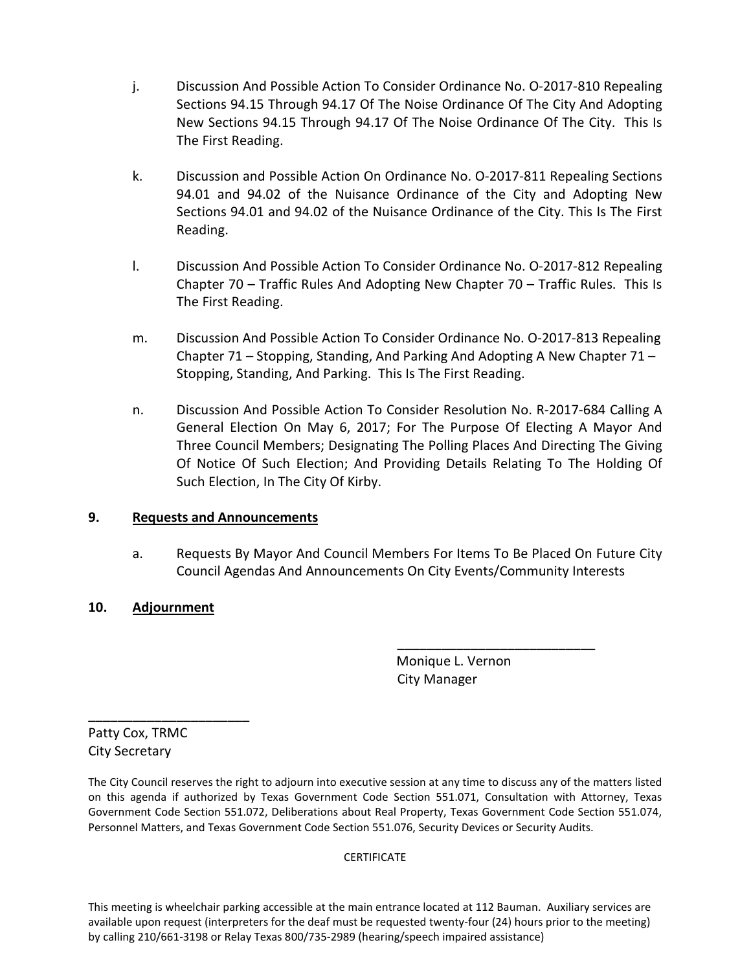- j. Discussion And Possible Action To Consider Ordinance No. O-2017-810 Repealing Sections 94.15 Through 94.17 Of The Noise Ordinance Of The City And Adopting New Sections 94.15 Through 94.17 Of The Noise Ordinance Of The City. This Is The First Reading.
- k. Discussion and Possible Action On Ordinance No. O-2017-811 Repealing Sections 94.01 and 94.02 of the Nuisance Ordinance of the City and Adopting New Sections 94.01 and 94.02 of the Nuisance Ordinance of the City. This Is The First Reading.
- l. Discussion And Possible Action To Consider Ordinance No. O-2017-812 Repealing Chapter 70 – Traffic Rules And Adopting New Chapter 70 – Traffic Rules. This Is The First Reading.
- m. Discussion And Possible Action To Consider Ordinance No. O-2017-813 Repealing Chapter 71 – Stopping, Standing, And Parking And Adopting A New Chapter 71 – Stopping, Standing, And Parking. This Is The First Reading.
- n. Discussion And Possible Action To Consider Resolution No. R-2017-684 Calling A General Election On May 6, 2017; For The Purpose Of Electing A Mayor And Three Council Members; Designating The Polling Places And Directing The Giving Of Notice Of Such Election; And Providing Details Relating To The Holding Of Such Election, In The City Of Kirby.

## **9. Requests and Announcements**

a. Requests By Mayor And Council Members For Items To Be Placed On Future City Council Agendas And Announcements On City Events/Community Interests

# **10. Adjournment**

 Monique L. Vernon City Manager

\_\_\_\_\_\_\_\_\_\_\_\_\_\_\_\_\_\_\_\_\_\_\_\_\_\_\_

Patty Cox, TRMC City Secretary

\_\_\_\_\_\_\_\_\_\_\_\_\_\_\_\_\_\_\_\_\_\_

The City Council reserves the right to adjourn into executive session at any time to discuss any of the matters listed on this agenda if authorized by Texas Government Code Section 551.071, Consultation with Attorney, Texas Government Code Section 551.072, Deliberations about Real Property, Texas Government Code Section 551.074, Personnel Matters, and Texas Government Code Section 551.076, Security Devices or Security Audits.

#### **CERTIFICATE**

This meeting is wheelchair parking accessible at the main entrance located at 112 Bauman. Auxiliary services are available upon request (interpreters for the deaf must be requested twenty-four (24) hours prior to the meeting) by calling 210/661-3198 or Relay Texas 800/735-2989 (hearing/speech impaired assistance)